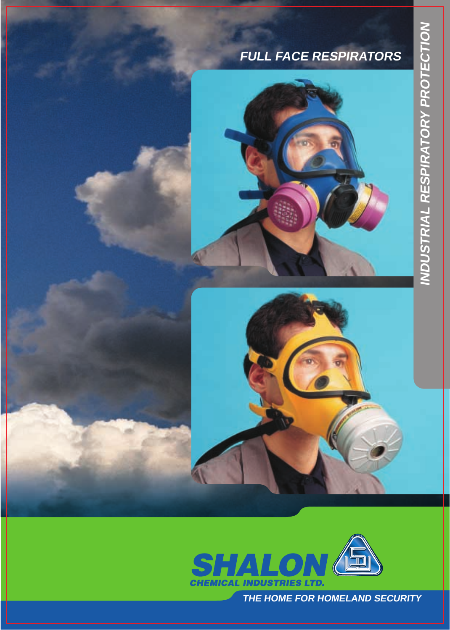# **FULL FACE RESPIRATORS**





**THE HOME FOR HOMELAND SECURITY**